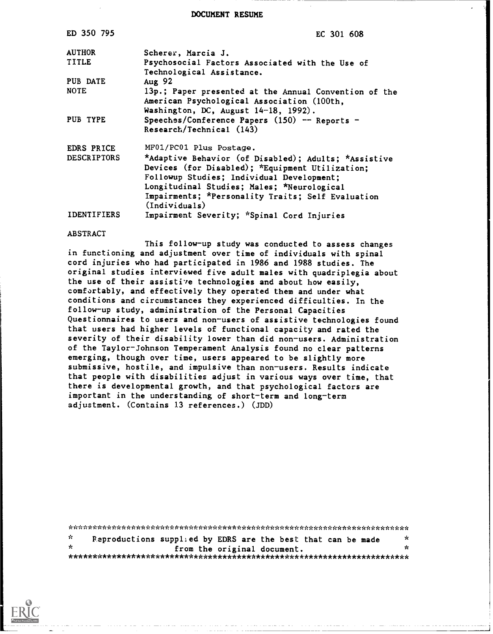DOCUMENT RESUME

| ED 350 795         | EC 301 608                                                                                                                                                                                                                                                               |
|--------------------|--------------------------------------------------------------------------------------------------------------------------------------------------------------------------------------------------------------------------------------------------------------------------|
| <b>AUTHOR</b>      | Scherer, Marcia J.                                                                                                                                                                                                                                                       |
| <b>TITLE</b>       | Psychosocial Factors Associated with the Use of<br>Technological Assistance.                                                                                                                                                                                             |
| PUB DATE           | Aug 92                                                                                                                                                                                                                                                                   |
| <b>NOTE</b>        | 13p.; Paper presented at the Annual Convention of the<br>American Psychological Association (100th,<br>Washington, DC, August 14-18, 1992).                                                                                                                              |
| PUB TYPE           | Speeches/Conference Papers (150) -- Reports -<br>Research/Technical (143)                                                                                                                                                                                                |
| EDRS PRICE         | MF01/PC01 Plus Postage.                                                                                                                                                                                                                                                  |
| <b>DESCRIPTORS</b> | *Adaptive Behavior (of Disabled); Adults; *Assistive<br>Devices (for Disabled); *Equipment Utilization;<br>Followup Studies; Individual Development;<br>Longitudinal Studies; Males; *Neurological<br>Impairments; *Personality Traits; Self Evaluation<br>(Individuals) |
| <b>IDENTIFIERS</b> | Impairment Severity; *Spinal Cord Injuries                                                                                                                                                                                                                               |

#### **ABSTRACT**

This follow-up study was conducted to assess changes in functioning and adjustment over time of individuals with spinal cord injuries who had participated in 1986 and 1988 studies. The original studies interviewed five adult males with quadriplegia about the use of their assistive technologies and about how easily, comfortably, and effectively they operated them and under what conditions and circumstances they experienced difficulties. In the follow-up study, administration of the Personal Capacities Questionnaires to users and non-users of assistive technologies found that users had higher levels of functional capacity and rated the severity of their disability lower than did non-users. Administration of the Taylor-Johnson Temperament Analysis found no clear patterns emerging, though over time, users appeared to be slightly more submissive, hostile, and impulsive than non-users. Results indicate that people with disabilities adjust in various ways over time, that there is developmental growth, and that psychological factors are important in the understanding of short-term and long-term adjustment. (Contains 13 references.) (JDD)

| ÷.   |  | Reproductions supplied by EDRS are the best that can be made | * |
|------|--|--------------------------------------------------------------|---|
| - de |  | from the original document.                                  |   |
|      |  |                                                              |   |

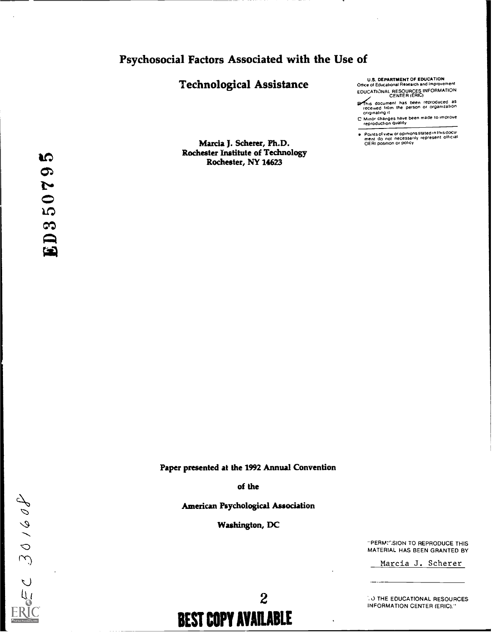# Psychosocial Factors Associated with the Use of

# **Technological Assistance**

Marcia J. Scherer, Ph.D. **Rochester Institute of Technology** 

Rochester, NY 14623

U.S. DEPARTMENT OF EDUCATION<br>Office of Educational Research and Improvement EDUCATIONAL RESOURCES INFORMATION

- This document has been reproduced as<br>received from the person or organization<br>originating it
- E Minor changes have been made to improve<br>reproduction quality

Points of view or opinions stated in this document do not inecessarily represent official<br>ment do not inecessarily represent official<br>OERI position or policy

Paper presented at the 1992 Annual Convention

of the

American Psychological Association

**Washington, DC** 

 $= 20160$ 

 $\boldsymbol{2}$ **BEST COPY AVAILABLE**  "PERMICSION TO REPRODUCE THIS MATERIAL HAS BEEN GRANTED BY

Marcia J. Scherer

**CO THE EDUCATIONAL RESOURCES INFORMATION CENTER (ERIC)."**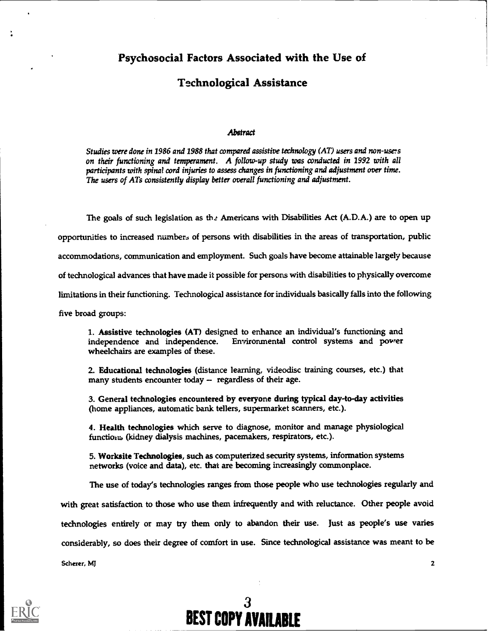# Technological Assistance

#### **Abstract**

Studies were done in 1986 and 1988 that compared assistive technology (AT) users and non-users on their functioning and temperament. A follow-up study was conducted in 2992 with all participants with spinal cord injuries to assess changes in functioning and adjustment over time. The users of ATs consistently display better overall functioning and adjustment.

The goals of such legislation as the Americans with Disabilities Act (A.D.A.) are to open up opportunities to increased numbers of persons with disabilities in the areas of transportation, public accommodations, communication and employment. Such goals have become attainable largely because of technological advances that have made it possible for persons with disabilities to physically overcome limitations in their functioning. Technological assistance for individuals basically falls into the following five broad groups:

1. Assistive technologies (AT) designed to enhance an individual's functioning and independence and independence. Environmental control systems and power wheelchairs are examples of these.

2. Educational technologies (distance learning, videodisc training courses, etc.) that many students encounter today  $-$  regardless of their age.

3. General technologies encountered by everyone during typical day-to-day activities (home appliances, automatic bank tellers, supermarket scanners, etc.).

4. Health technologies which serve to diagnose, monitor and manage physiological functiom, (kidney dialysis machines, pacemakers, respirators, etc.).

5. Worksite Technologies, such as computerized security systems, information systems networks (voice and data), etc. that are becoming increasingly commonplace.

The use of today's technologies ranges from those people who use technologies regularly and with great satisfaction to those who use them infrequently and with reluctance. Other people avoid technologies entirely or may try them only to abandon their use. Just as people's use varies considerably, so does their degree of comfort in use. Since technological assistance was meant to be Scherer, MJ 2

BEST COPY AVAILABLE

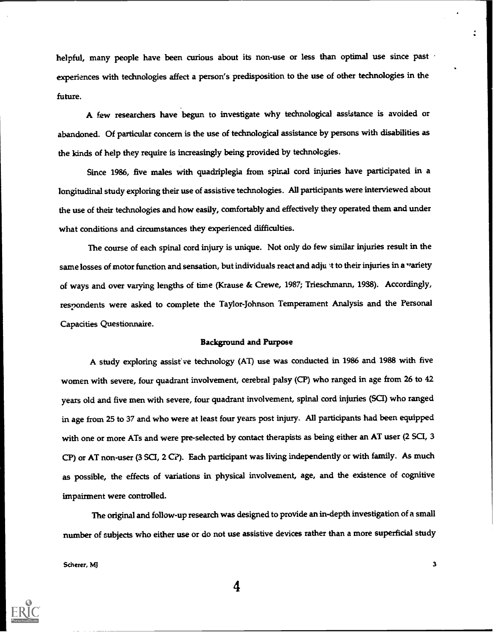helpful, many people have been curious about its non-use or less than optimal use since past experiences with technologies affect a person's predisposition to the use of other technologies in the future.

A few researchers have begun to investigate why technological assistance is avoided or abandoned. Of particular concern is the use of technological assistance by persons with disabilities as the kinds of help they require is increasingly being provided by technologies.

Since 1986, five males with quadriplegia from spinal cord injuries have participated in a longitudinal study exploring their use of assistive technologies. All participants were interviewed about the use of their technologies and how easily, comfortably and effectively they operated them and under what conditions and circumstances they experienced difficulties.

The course of each spinal cord injury is unique. Not only do few similar injuries result in the same losses of motor function and sensation, but individuals react and adju  $\cdot$ t to their injuries in a variety of ways and over varying lengths of time (Krause & Crewe, 1987; Trieschmann, 1938). Accordingly, respondents were asked to complete the Taylor-Johnson Temperament Analysis and the Personal Capacities Questionnaire.

## Background and Purpose

A study exploring assisf ve technology (AT) use was conducted in 1986 and 1988 with five women with severe, four quadrant involvement, cerebral palsy (CP) who ranged in age from 26 to 42 years old and five men with severe, four quadrant involvement, spinal cord injuries (SCI) who ranged in age from 25 to 37 and who were at least four years post injury. All participants had been equipped with one or more ATs and were pre-selected by contact therapists as being either an AT user (2 SCI, 3 CP) or AT non-user (3 SC, 2 C?). Each participant was living independently or with family. As much as possible, the effects of variations in physical involvement, age, and the existence of cognitive impairment were controlled.

The original and follow-up research was designed to provide an in-depth investigation of a small number of subjects who either use or do not use assistive devices rather than a more superficial study

Scherer, MJ

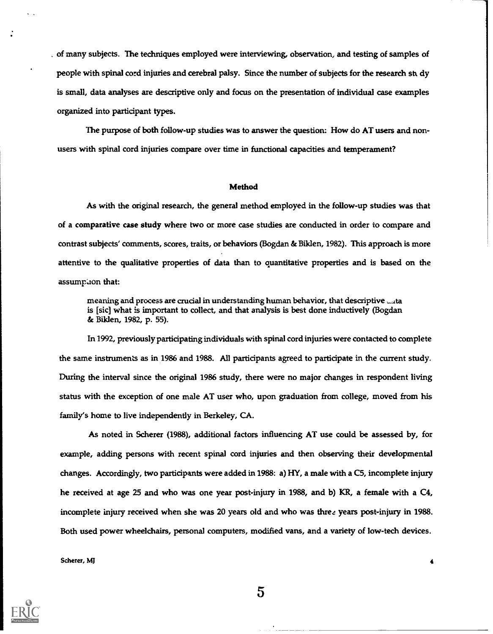of many subjects. The techniques employed were interviewing, observation, and testing of samples of people with spinal cord injuries and cerebral palsy. Since the number of subjects for the research st dy is small, data analyses are descriptive only and focus on the presentation of individual case examples organized into participant types.

The purpose of both follow-up studies was to answer the question: How do AT users and nonusers with spinal cord injuries compare over time in functional capacities and temperament?

#### Method

As with the original research, the general method employed in the follow-up studies was that of a comparative case study where two or more case studies are conducted in order to compare and contrast subjects' comments, scores, traits, or behaviors (Bogdan & Biklen, 1982). This approach is more attentive to the qualitative properties of data than to quantitative properties and is based on the assumption that:

meaning and process are crucial in understanding human behavior, that descriptive  $\Box$ ta is [sic] what is important to collect, and that analysis is best done inductively (Bogdan & Biklen, 1982, p. 55).

In 1992, previously participating individuals with spinal cord injuries were contacted to complete the same instruments as in 1986 and 1988. All participants agreed to participate in the current study. During the interval since the original 1986 study, there were no major changes in respondent living status with the exception of one male AT user who, upon graduation from college, moved from his family's home to live independently in Berkeley, CA.

As noted in Scherer (1988), additional factors influencing AT use could be assessed by, for example, adding persons with recent spinal cord injuries and then observing their developmental changes. Accordingly, two participants were added in 1988: a) HY, a male with a C5, incomplete injury he received at age 25 and who was one year post-injury in 1988, and b) KR, a female with a C4, incomplete injury received when she was 20 years old and who was three years post-injury in 1988. Both used power wheelchairs, personal computers, modified vans, and a variety of low-tech devices.

Scherer, MJ

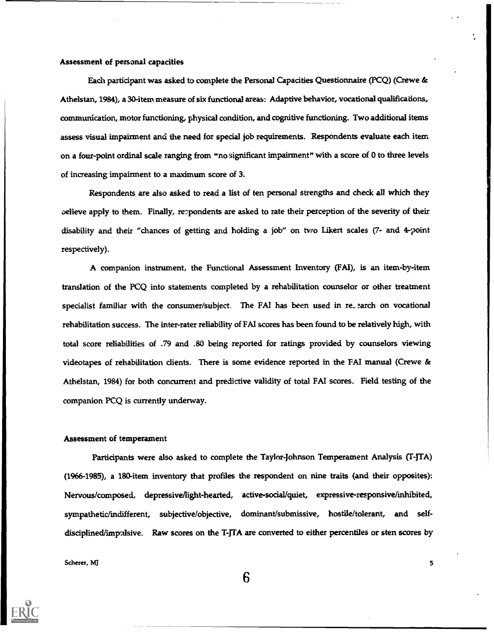## Assessment of personal capacities

Each participant was asked to complete the Personal Capacities Questionnaire (PCQ) (Crewe & Athelstan, 1984), a 30-item measure of six functional areas: Adaptive behavior, vocational qualifications, communication, motor functioning, physical condition, and cognitive functioning. Two additional items assess visual impairment and the need for special job requirements. Respondents evaluate each item on a four-point ordinal scale ranging from "no significant impairment" with a score of 0 to three levels of increasing impairment to a maximum score of 3.

Respondents are also asked to read a list of ten personal strengths and check all which they oelieve apply to them. Finally, repondents are asked to rate their perception of the severity of their disability and their "chances of getting and holding a job" on two Likert scales (7- and 4-point respectively).

A companion instrument, the Functional Assessment Inventory (FAT), is an item-by-item translation of the PCQ into statements completed by a rehabilitation counselor or other treatment specialist familiar with the consumer/subject. The FAI has been used in re\_ earch on vocational rehabilitation success. The inter-rater reliability of FAI scores has been found to be relatively high, with total score reliabilities of .79 and .80 being reported for ratings provided by counselors viewing videotapes of rehabilitation clients. There is some evidence reported in the FAT manual (Crewe & Athelstan, 1984) for both concurrent and predictive validity of total FAT scores. Field testing of the companion PCQ is currently underway.

#### Assessment of temperament

Participants were also asked to complete the Taylor-Johnson Temperament Analysis (T-JTA) (1966-1985), a 180-item inventory that profiles the respondent on nine traits (and their opposites): Nervous/composed, depressive/light-hearted, active-social/quiet, expressive-responsive/inhibited, sympathetic/indifferent, subjective/objective, dominant/submissive, hostile/tolerant, and selfdisciplined/impulsive. Raw scores on the T-JTA are converted to either percentiles or sten scores by

Scherer, MJ 55 Scherer, MJ 55 Scherer, MJ 55 Scherer, MJ 55 Scherer, MJ 55 Scherer, MJ 55 Scherer, MJ 55 Scherer, MJ 55 Scherer, MJ 55 Scherer, MJ 55 Scherer, MJ 55 Scherer, MJ 55 Scherer, MJ 55 Scherer, MJ 55 Scherer, MJ

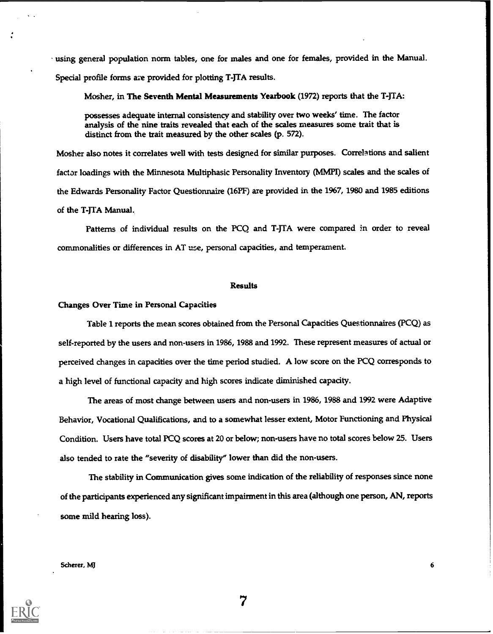using general population norm tables, one for males and one for females, provided in the Manual. Special profile forms are provided for plotting T-JTA results.

Mosher, in The Seventh Mental Measurements Yearbook (1972) reports that the T-JTA:

possesses adequate internal consistency and stability over two weeks' time. The factor analysis of the nine traits revealed that each of the scales measures some trait that is distinct from the trait measured by the other scales (p. 572).

Mosher also notes it correlates well with tests designed for similar purposes. Correlations and salient factor loadings with the Minnesota Multiphasic Personality Inventory (MMPI) scales and the scales of the Edwards Personality Factor Questionnaire (16PF) are provided in the 1967, 1980 and 1985 editions of the T-JTA Manual.,

Patterns of individual results on the PCQ and T-JTA were compared in order to reveal commonalities or differences in AT use, personal capacities, and temperament.

#### Results

#### Changes Over Time in Personal Capacities

Table 1 reports the mean scores obtained from the Personal Capacities Questionnaires (PCQ) as self-reported by the users and non-users in 1986, 1988 and 1992. These represent measures of actual or perceived changes in capacities over the time period studied. A low score on the PCQ corresponds to a high level of functional capacity and high scores indicate diminished capacity.

The areas of most change between users and non-users in 1986, 1988 and 1992 were Adaptive Behavior, Vocational Qualifications, and to a somewhat lesser extent, Motor Functioning and Physical Condition. Users have total PCQ scores at 20 or below; non-users have no total scores below 25. Users also tended to rate the "severity of disability" lower than did the non-users.

The stability in Communication gives some indication of the reliability of responses since none of the participants experienced any significant impairment in this area (although one person, AN, reports some mild hearing loss).

7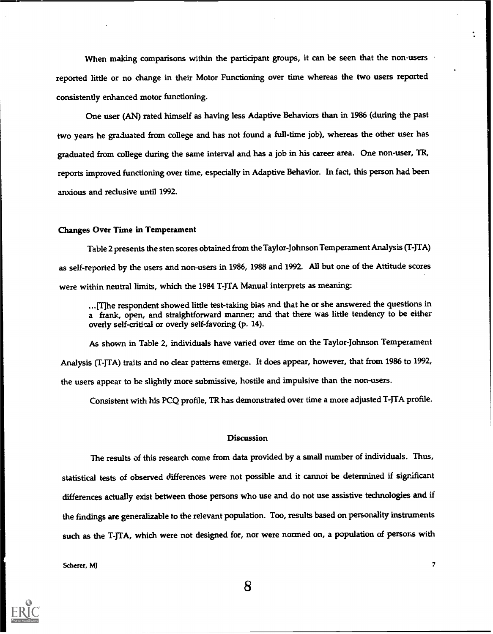When making comparisons within the participant groups, it can be seen that the non-users reported little or no change in their Motor Functioning over time whereas the two users reported consistently enhanced motor functioning.

One user (AN) rated himself as having less Adaptive Behaviors than in 1986 (during the past two years he graduated from college and has not found a full-time job), whereas the other user has graduated from college during the same interval and has a job in his career area. One non-user, TR, reports improved functioning over time, especially in Adaptive Behavior. In fact, this person had been anxious and reclusive until 1992.

#### Changes Over Time in Temperament

Table 2 presents the sten scores obtained from the Taylor-Johnson Temperament Analysis (T-JTA) as self-reported by the users and non-users in 1986, 1988 and 1992. All but one of the Attitude scores were within neutral limits, which the 1984 T-JTA Manual interprets as meaning:

...(Tihe respondent showed little test-taking bias and that he or she answered the questions in a frank, open, and straightforward manner; and that there was little tendency to be either overly self-critical or overly self-favoring (p. 14).

As shown in Table 2, individuals have varied over time on the Taylor-Johnson Temperament Analysis (T-JTA) traits and no dear patterns emerge. It does appear, however, that from 1986 to 1992, the users appear to be slightly more submissive, hostile and impulsive than the non-users.

Consistent with his PCQ profile, TR has demonstrated over time a more adjusted T-JTA profile.

#### **Discussion**

The results of this research come from data provided by a small number of individuals. Thus, statistical tests of observed differences were not possible and it cannot be determined if significant differences actually exist between those persons who use and do not use assistive technologies and if the findings are generalizable to the relevant population. Too, results based on personality instruments such as the T-JTA, which were not designed for, nor were normed on, a population of persons with

Scherer, MJ 7

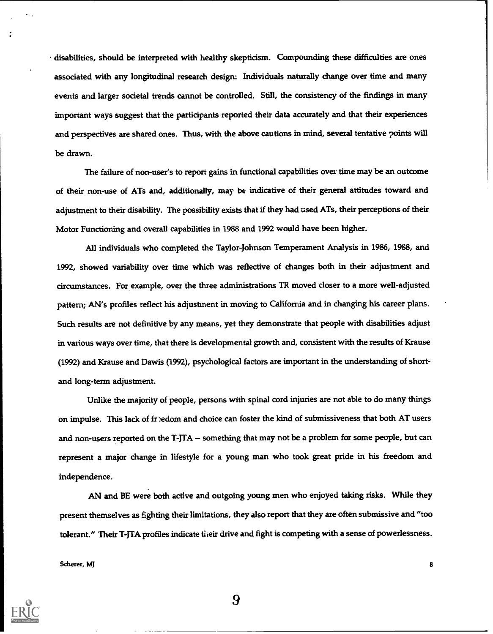disabilities, should be interpreted with healthy skepticism. Compounding these difficulties are ones associated with any longitudinal research design: Individuals naturally change over time and many events and larger societal trends cannot be controlled. Still, the consistency of the findings in many important ways suggest that the participants reported their data accurately and that their experiences and perspectives are shared ones. Thus, with the above cautions in mind, several tentative points will be drawn.

The failure of non-user's to report gains in functional capabilities over time may be an outcome of their non-use of ATs and, additionally, may be indicative of their general attitudes toward and adjustment to their disability. The possibility exists that if they had used ATs, their perceptions of their Motor Functioning and overall capabilities in 1988 and 1992 would have been higher.

All individuals who completed the Taylor-Johnson Temperament Analysis in 1986, 1988, and 1992, showed variability over time which was reflective of changes both in their adjustment and circumstances. For example, over the three administrations TR moved closer to a more well-adjusted pattern; AN's profiles reflect his adjustment in moving to California and in changing his career plans. Such results are not definitive by any means, yet they demonstrate that people with disabilities adjust in various ways over time, that there is developmental growth and, consistent with the results of Krause (1992) and Krause and Dawis (1992), psychological factors are important in the understanding of shortand long-term adjustment.

Unlike the majority of people, persons with spinal cord injuries are not able to do many things on impulse. This lack of fr :edom and choice can foster the kind of submissiveness that both AT users and non-users reported on the T-JTA -- something that may not be a problem for some people, but can represent a major change in lifestyle for a young man who took great pride in his freedom and independence.

AN and BE were both active and outgoing young men who enjoyed taking risks. While they present themselves as fighting their limitations, they also report that they are often submissive and "too tolerant." Their T-JTA profiles indicate their drive and fight is competing with a sense of powerlessness.

Scherer, MJ 8

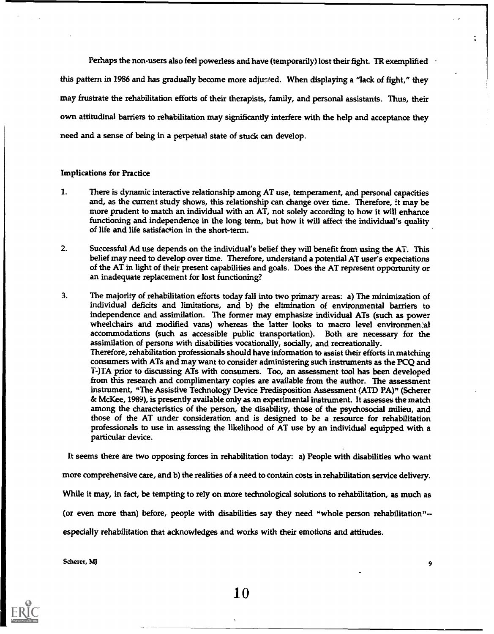Perhaps the non-users also feel powerless and have (temporarily) lost their fight. TR exemplified response this pattern in 1986 and has gradually become more adjusted. When displaying a "lack of fight," they may frustrate the rehabilitation efforts of their therapists, family, and personal assistants. Thus, their own attitudinal barriers to rehabilitation may significantly interfere with the help and acceptance they need and a sense of being in a perpetual state of stuck can develop.

### Implications for Practice

- 1. There is dynamic interactive relationship among AT use, temperament, and personal capacities and, as the current study shows, this relationship can change over time. Therefore, it may be more prudent to match an individual with an AT, not solely according to how it will enhance functioning and independence in the long term, but how it will affect the individual's quality of life and life satisfaction in the short-term.
- 2. Successful Ad use depends on the individual's belief they will benefit from using the AT. This belief may need to develop over time. Therefore, understand a potential AT user's expectations of the AT in light of their present capabilities and goals. Does the AT represent opportunity or an inadequate replacement for lost functioning?
- 3. The majority of rehabilitation efforts today fall into two primary areas: a) The minimization of individual deficits and limitations, and b) the elimination of environmental barriers to independence and assimilation. The former may emphasize individual ATs (such as power wheelchairs and modified vans) whereas the latter looks to macro level environmental accommodations (such as accessible public transportation). Both are necessary for the assimilation of persons with disabilities vocationally, socially, and recreationally. Therefore, rehabilitation professionals should have information to assist their efforts in matching consumers with ATs and may want to consider administering such instruments as the PCQ and T-JTA prior to discussing ATs with consumers. Too, an assessment tool has been developed from this research and complimentary copies are available from the author. The assessment instrument, "The Assistive Technology Device Predisposition Assessment (ATD PA)" (Scherer & McKee, 1989), is presently available only as an experimental instrument. It assesses the match among the characteristics of the person, the disability, those of the psychosocial milieu, and those of the AT under consideration and is designed to be a resource for rehabilitation professionals to use in assessing the likelihood of AT use by an individual equipped with a particular device.

It seems there are two opposing forces in rehabilitation today: a) People with disabilities who want

more comprehensive care, and b) the realities of a need to contain costs in rehabilitation service delivery.

While it may, in fact, be tempting to rely on more technological solutions to rehabilitation, as much as

(or even more than) before, people with disabilities say they need "whole person rehabilitation"

especially rehabilitation that acknowledges and works with their emotions and attitudes.

Scherer, MJ <sup>9</sup>

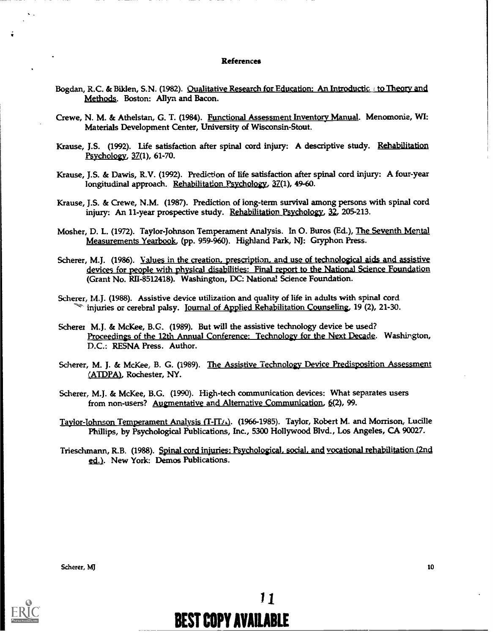#### References

- Bogdan, R.C. & Biklen, S.N. (1982). Qualitative Research for Education: An Introductic to Theory and Methods. Boston: Allyn and Bacon.
- Crewe, N. M. & Athelstan, G. T. (1984). Functional Assessment Inventory Manual. Menomonie, WI: Materials Development Center, University of Wisconsin-Stout.
- Krause, J.S. (1992). Life satisfaction after spinal cord injury: A descriptive study. Rehabilitation Psychology, 37(1), 61-70.
- Krause, J.S. & Dawis, R.V. (1992). Prediction of life satisfaction after spinal cord injury: A four-year longitudinal approach. Rehabilitation Psychology, 37(1), 49-60.
- Krause, J.S. & Crewe, N.M. (1987). Prediction of long-term survival among persons with spinal cord injury: An 11-year prospective study. Rehabilitation Psychology, 32, 205-213.
- Mosher, D. L. (1972). Taylor-Johnson Temperament Analysis. In 0. Buros (Ed.), The Seventh Mental Measurements Yearbook, (pp. 959-960). Highland Park, NJ: Gryphon Press.
- Scherer, M.J. (1986). Values in the creation, prescription, and use of technological aids and assistive devices for people with physical disabilities: Final report to the National Science Foundation (Grant No. R1I-8512418). Washington, DC: National Science Foundation.
- Scherer, M.J. (1988). Assistive device utilization and quality of life in adults with spinal cord <sup>o</sup> injuries or cerebral palsy. Journal of Applied Rehabilitation Counseling, 19 (2), 21-30.
- Scherer M.J. & McKee, B.G. (1989). But will the assistive technology device be used? Proceedings of the 12th Annual Conference: Technology for the Next Decade. Washington, D.C.: RESNA Press. Author.
- Scherer, M. J. & McKee, B. G. (1989). The Assistive Technology Device Predisposition Assessment (ATDPA), Rochester, NY.
- Scherer, M.J. & McKee, B.G. (1990). High-tech communication devices: What separates users from non-users? Augmentative and Alternative Communication, 6(2), 99.
- Taylor-Johnson Temperament Analysis (T-JT/1). (1966-1985). Taylor, Robert M. and Morrison, Lucille Phillips, by Psychological Publications, Inc., 5300 Hollywood Blvd., Los Angeles, CA 90027.
- Triesclunann, R.B. (1988). Spinal cord injuries: Psychological, social, and vocational rehabilitation (2nd ed.). New York: Demos Publications.

Scherer, MJ 10

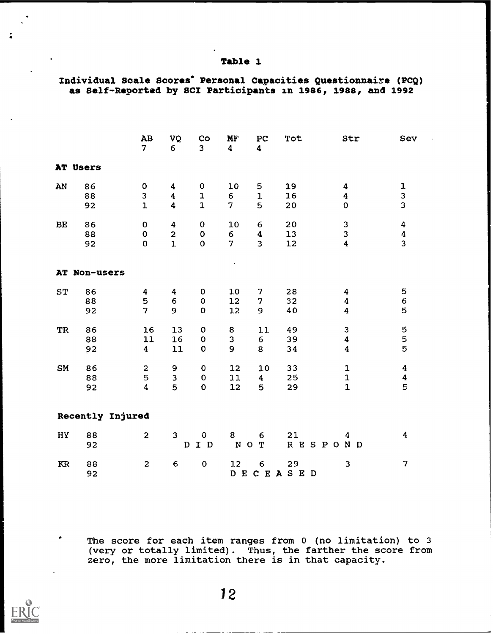## Table 1

# Individual Scale Scores\* Personal Capacities Questionnaire (PCQ) as Self-Reported by SCI Participants in 1986, 1988, and 1992

|                  |                | AB<br>$\overline{\mathbf{z}}$                           | VQ<br>6                                                 | Co<br>3 <sup>1</sup>                      | MF<br>4                   | PC<br>$\boldsymbol{4}$                         | Tot                  | Str                                                                    | Sev                                       |  |
|------------------|----------------|---------------------------------------------------------|---------------------------------------------------------|-------------------------------------------|---------------------------|------------------------------------------------|----------------------|------------------------------------------------------------------------|-------------------------------------------|--|
|                  | AT Users       |                                                         |                                                         |                                           |                           |                                                |                      |                                                                        |                                           |  |
| AN               | 86<br>88<br>92 | $\mathbf 0$<br>3<br>$\mathbf{1}$                        | 4<br>$\overline{\mathbf{4}}$<br>$\overline{\mathbf{4}}$ | $\pmb{0}$<br>${\bf 1}$<br>$\mathbf{1}$    | 10<br>6<br>7              | 5<br>$\mathbf{1}$<br>5                         | 19<br>16<br>20       | $\boldsymbol{4}$<br>$\overline{\mathbf{4}}$<br>$\mathbf 0$             | 1<br>3<br>$\overline{\mathbf{3}}$         |  |
| BE               | 86<br>88<br>92 | $\bf{0}$<br>$\mathbf 0$<br>$\mathbf 0$                  | $\boldsymbol{4}$<br>$\overline{2}$<br>$\mathbf{1}$      | $\mathbf 0$<br>$\mathbf 0$<br>$\mathbf 0$ | 10<br>6<br>$\overline{7}$ | 6<br>$\overline{\mathbf{4}}$<br>$\overline{3}$ | 20<br>13<br>12       | $\mathsf 3$<br>3<br>$\overline{\mathbf{4}}$                            | $\pmb{4}$<br>$\frac{4}{3}$                |  |
|                  | AT Non-users   |                                                         |                                                         |                                           |                           |                                                |                      |                                                                        |                                           |  |
| <b>ST</b>        | 86<br>88<br>92 | 4<br>5<br>$\overline{7}$                                | 4<br>6<br>9                                             | $\mathbf 0$<br>$\mathbf 0$<br>$\mathbf 0$ | 10<br>12<br>12            | 7<br>$\overline{7}$<br>9                       | 28<br>32<br>40       | $\boldsymbol{4}$<br>$\overline{\mathbf{4}}$<br>$\overline{\mathbf{4}}$ | 5<br>$\mathbf 6$<br>5                     |  |
| <b>TR</b>        | 86<br>88<br>92 | 16<br>$11$<br>$\boldsymbol{4}$                          | 13<br>16<br>11                                          | $\pmb{0}$<br>$\pmb{0}$<br>$\mathbf 0$     | 8<br>3<br>9               | 11<br>6<br>8                                   | 49<br>39<br>34       | 3<br>$\boldsymbol{4}$<br>$\overline{\mathbf{4}}$                       | 5<br>5<br>5                               |  |
| SM               | 86<br>88<br>92 | $\overline{\mathbf{c}}$<br>5<br>$\overline{\mathbf{4}}$ | 9<br>3<br>5                                             | $\mathbf 0$<br>$\pmb{0}$<br>$\mathbf 0$   | 12<br>11<br>12            | 10<br>$\overline{\mathbf{4}}$<br>5             | 33<br>25<br>29       | ${\bf 1}$<br>${\bf 1}$<br>$\mathbf{1}$                                 | $\boldsymbol{4}$<br>$\boldsymbol{4}$<br>5 |  |
| Recently Injured |                |                                                         |                                                         |                                           |                           |                                                |                      |                                                                        |                                           |  |
| HY               | 88<br>92       | $\overline{2}$                                          | $\mathbf{3}$<br>D                                       | $\mathbf{o}$<br>I D                       | 8<br>NOT                  | 6                                              | 21<br><b>RESPOND</b> | 4                                                                      | $\boldsymbol{4}$                          |  |
| KR               | 88<br>92       | $\mathbf{2}$                                            | $\boldsymbol{6}$                                        | $\pmb{0}$                                 | 12                        | $\epsilon$                                     | 29<br>DECEASED       | 3                                                                      | $\overline{\mathbf{z}}$                   |  |

The score for each item ranges from 0 (no limitation) to 3 (very or totally limited). Thus, the farther the score from zero, the more limitation there is in that capacity.